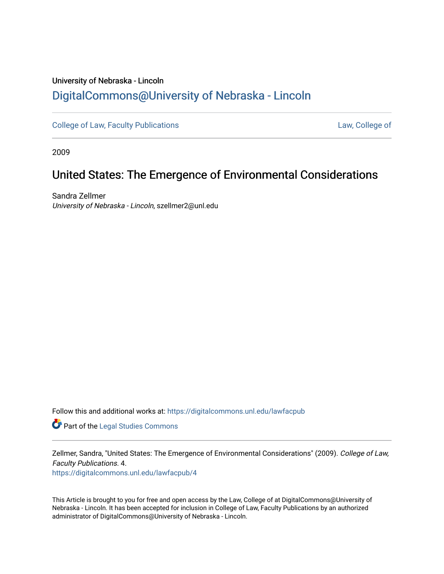# University of Nebraska - Lincoln [DigitalCommons@University of Nebraska - Lincoln](https://digitalcommons.unl.edu/)

[College of Law, Faculty Publications](https://digitalcommons.unl.edu/lawfacpub) **[Law, College of](https://digitalcommons.unl.edu/law) Law, College of** 

2009

# United States: The Emergence of Environmental Considerations

Sandra Zellmer University of Nebraska - Lincoln, szellmer2@unl.edu

Follow this and additional works at: [https://digitalcommons.unl.edu/lawfacpub](https://digitalcommons.unl.edu/lawfacpub?utm_source=digitalcommons.unl.edu%2Flawfacpub%2F4&utm_medium=PDF&utm_campaign=PDFCoverPages) 

Part of the [Legal Studies Commons](http://network.bepress.com/hgg/discipline/366?utm_source=digitalcommons.unl.edu%2Flawfacpub%2F4&utm_medium=PDF&utm_campaign=PDFCoverPages) 

Zellmer, Sandra, "United States: The Emergence of Environmental Considerations" (2009). College of Law, Faculty Publications. 4.

[https://digitalcommons.unl.edu/lawfacpub/4](https://digitalcommons.unl.edu/lawfacpub/4?utm_source=digitalcommons.unl.edu%2Flawfacpub%2F4&utm_medium=PDF&utm_campaign=PDFCoverPages) 

This Article is brought to you for free and open access by the Law, College of at DigitalCommons@University of Nebraska - Lincoln. It has been accepted for inclusion in College of Law, Faculty Publications by an authorized administrator of DigitalCommons@University of Nebraska - Lincoln.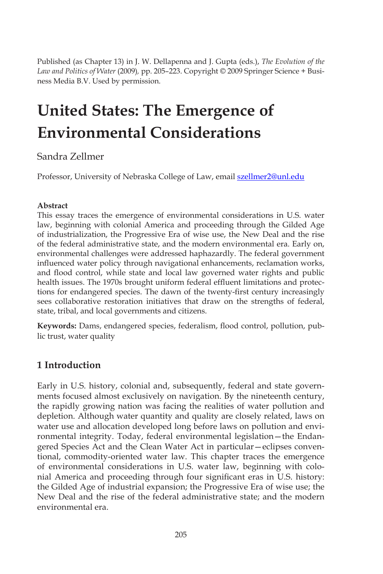Published (as Chapter 13) in J. W. Dellapenna and J. Gupta (eds.), *The Evolution of the Law and Politics of Water* (2009)*,* pp. 205–223. Copyright © 2009 Springer Science + Business Media B.V. Used by permission.

# **United States: The Emergence of Environmental Considerations**

# Sandra Zellmer

Professor, University of Nebraska College of Law, email **szellmer2@unl.edu** 

#### **Abstract**

This essay traces the emergence of environmental considerations in U.S. water law, beginning with colonial America and proceeding through the Gilded Age of industrialization, the Progressive Era of wise use, the New Deal and the rise of the federal administrative state, and the modern environmental era. Early on, environmental challenges were addressed haphazardly. The federal government influenced water policy through navigational enhancements, reclamation works, and flood control, while state and local law governed water rights and public health issues. The 1970s brought uniform federal effluent limitations and protections for endangered species. The dawn of the twenty-first century increasingly sees collaborative restoration initiatives that draw on the strengths of federal, state, tribal, and local governments and citizens.

**Keywords:** Dams, endangered species, federalism, flood control, pollution, public trust, water quality

# **1 Introduction**

Early in U.S. history, colonial and, subsequently, federal and state governments focused almost exclusively on navigation. By the nineteenth century, the rapidly growing nation was facing the realities of water pollution and depletion. Although water quantity and quality are closely related, laws on water use and allocation developed long before laws on pollution and environmental integrity. Today, federal environmental legislation—the Endangered Species Act and the Clean Water Act in particular—eclipses conventional, commodity-oriented water law. This chapter traces the emergence of environmental considerations in U.S. water law, beginning with colonial America and proceeding through four significant eras in U.S. history: the Gilded Age of industrial expansion; the Progressive Era of wise use; the New Deal and the rise of the federal administrative state; and the modern environmental era.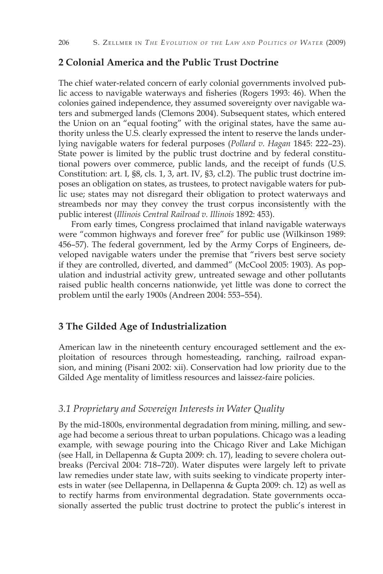#### **2 Colonial America and the Public Trust Doctrine**

The chief water-related concern of early colonial governments involved public access to navigable waterways and fisheries (Rogers 1993: 46). When the colonies gained independence, they assumed sovereignty over navigable waters and submerged lands (Clemons 2004). Subsequent states, which entered the Union on an "equal footing" with the original states, have the same authority unless the U.S. clearly expressed the intent to reserve the lands underlying navigable waters for federal purposes (*Pollard v. Hagan* 1845: 222–23). State power is limited by the public trust doctrine and by federal constitutional powers over commerce, public lands, and the receipt of funds (U.S. Constitution: art. I, §8, cls. 1, 3, art. IV, §3, cl.2). The public trust doctrine imposes an obligation on states, as trustees, to protect navigable waters for public use; states may not disregard their obligation to protect waterways and streambeds nor may they convey the trust corpus inconsistently with the public interest (*Illinois Central Railroad v. Illinois* 1892: 453).

From early times, Congress proclaimed that inland navigable waterways were "common highways and forever free" for public use (Wilkinson 1989: 456–57). The federal government, led by the Army Corps of Engineers, developed navigable waters under the premise that "rivers best serve society if they are controlled, diverted, and dammed" (McCool 2005: 1903). As population and industrial activity grew, untreated sewage and other pollutants raised public health concerns nationwide, yet little was done to correct the problem until the early 1900s (Andreen 2004: 553–554).

## **3 The Gilded Age of Industrialization**

American law in the nineteenth century encouraged settlement and the exploitation of resources through homesteading, ranching, railroad expansion, and mining (Pisani 2002: xii). Conservation had low priority due to the Gilded Age mentality of limitless resources and laissez-faire policies.

### *3.1 Proprietary and Sovereign Interests in Water Quality*

By the mid-1800s, environmental degradation from mining, milling, and sewage had become a serious threat to urban populations. Chicago was a leading example, with sewage pouring into the Chicago River and Lake Michigan (see Hall, in Dellapenna & Gupta 2009: ch. 17), leading to severe cholera outbreaks (Percival 2004: 718–720). Water disputes were largely left to private law remedies under state law, with suits seeking to vindicate property interests in water (see Dellapenna, in Dellapenna & Gupta 2009: ch. 12) as well as to rectify harms from environmental degradation. State governments occasionally asserted the public trust doctrine to protect the public's interest in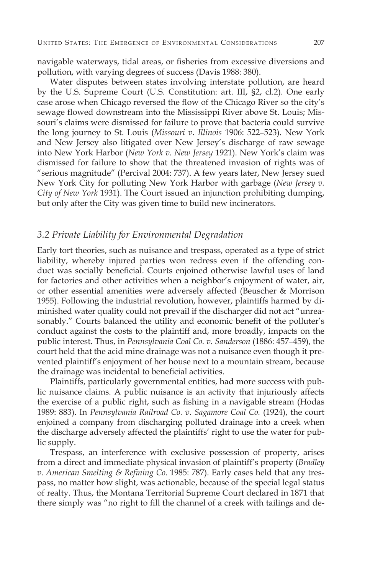navigable waterways, tidal areas, or fisheries from excessive diversions and pollution, with varying degrees of success (Davis 1988: 380).

Water disputes between states involving interstate pollution, are heard by the U.S. Supreme Court (U.S. Constitution: art. III, §2, cl.2). One early case arose when Chicago reversed the flow of the Chicago River so the city's sewage flowed downstream into the Mississippi River above St. Louis; Missouri's claims were dismissed for failure to prove that bacteria could survive the long journey to St. Louis (*Missouri v. Illinois* 1906: 522–523). New York and New Jersey also litigated over New Jersey's discharge of raw sewage into New York Harbor (*New York v. New Jersey* 1921). New York's claim was dismissed for failure to show that the threatened invasion of rights was of "serious magnitude" (Percival 2004: 737). A few years later, New Jersey sued New York City for polluting New York Harbor with garbage (*New Jersey v. City of New York* 1931). The Court issued an injunction prohibiting dumping, but only after the City was given time to build new incinerators.

### *3.2 Private Liability for Environmental Degradation*

Early tort theories, such as nuisance and trespass, operated as a type of strict liability, whereby injured parties won redress even if the offending conduct was socially beneficial. Courts enjoined otherwise lawful uses of land for factories and other activities when a neighbor's enjoyment of water, air, or other essential amenities were adversely affected (Beuscher & Morrison 1955). Following the industrial revolution, however, plaintiffs harmed by diminished water quality could not prevail if the discharger did not act "unreasonably." Courts balanced the utility and economic benefit of the polluter's conduct against the costs to the plaintiff and, more broadly, impacts on the public interest. Thus, in *Pennsylvania Coal Co. v. Sanderson* (1886: 457–459), the court held that the acid mine drainage was not a nuisance even though it prevented plaintiff's enjoyment of her house next to a mountain stream, because the drainage was incidental to beneficial activities.

Plaintiffs, particularly governmental entities, had more success with public nuisance claims. A public nuisance is an activity that injuriously affects the exercise of a public right, such as fishing in a navigable stream (Hodas 1989: 883). In *Pennsylvania Railroad Co. v. Sagamore Coal Co.* (1924), the court enjoined a company from discharging polluted drainage into a creek when the discharge adversely affected the plaintiffs' right to use the water for public supply.

Trespass, an interference with exclusive possession of property, arises from a direct and immediate physical invasion of plaintiff's property (*Bradley v. American Smelting & Refining Co.* 1985: 787). Early cases held that any trespass, no matter how slight, was actionable, because of the special legal status of realty. Thus, the Montana Territorial Supreme Court declared in 1871 that there simply was "no right to fill the channel of a creek with tailings and de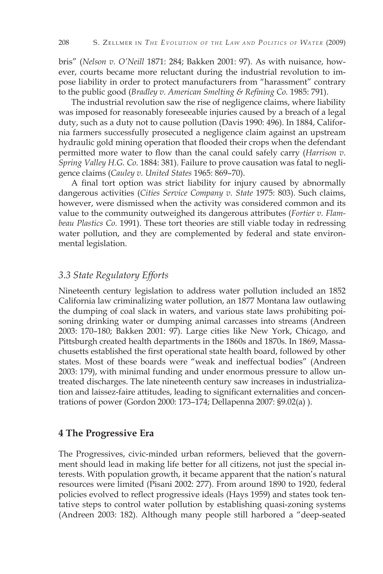bris" (*Nelson v. O'Neill* 1871: 284; Bakken 2001: 97). As with nuisance, however, courts became more reluctant during the industrial revolution to impose liability in order to protect manufacturers from "harassment" contrary to the public good (*Bradley v. American Smelting & Refining Co.* 1985: 791).

The industrial revolution saw the rise of negligence claims, where liability was imposed for reasonably foreseeable injuries caused by a breach of a legal duty, such as a duty not to cause pollution (Davis 1990: 496). In 1884, California farmers successfully prosecuted a negligence claim against an upstream hydraulic gold mining operation that flooded their crops when the defendant permitted more water to flow than the canal could safely carry (*Harrison v. Spring Valley H.G. Co.* 1884: 381). Failure to prove causation was fatal to negligence claims (*Cauley v. United States* 1965: 869–70).

A final tort option was strict liability for injury caused by abnormally dangerous activities (*Cities Service Company v. State* 1975: 803). Such claims, however, were dismissed when the activity was considered common and its value to the community outweighed its dangerous attributes (*Fortier v. Flambeau Plastics Co.* 1991). These tort theories are still viable today in redressing water pollution, and they are complemented by federal and state environmental legislation.

#### *3.3 State Regulatory Efforts*

Nineteenth century legislation to address water pollution included an 1852 California law criminalizing water pollution, an 1877 Montana law outlawing the dumping of coal slack in waters, and various state laws prohibiting poisoning drinking water or dumping animal carcasses into streams (Andreen 2003: 170–180; Bakken 2001: 97). Large cities like New York, Chicago, and Pittsburgh created health departments in the 1860s and 1870s. In 1869, Massachusetts established the first operational state health board, followed by other states. Most of these boards were "weak and ineffectual bodies" (Andreen 2003: 179), with minimal funding and under enormous pressure to allow untreated discharges. The late nineteenth century saw increases in industrialization and laissez-faire attitudes, leading to significant externalities and concentrations of power (Gordon 2000: 173–174; Dellapenna 2007: §9.02(a) ).

#### **4 The Progressive Era**

The Progressives, civic-minded urban reformers, believed that the government should lead in making life better for all citizens, not just the special interests. With population growth, it became apparent that the nation's natural resources were limited (Pisani 2002: 277). From around 1890 to 1920, federal policies evolved to reflect progressive ideals (Hays 1959) and states took tentative steps to control water pollution by establishing quasi-zoning systems (Andreen 2003: 182). Although many people still harbored a "deep-seated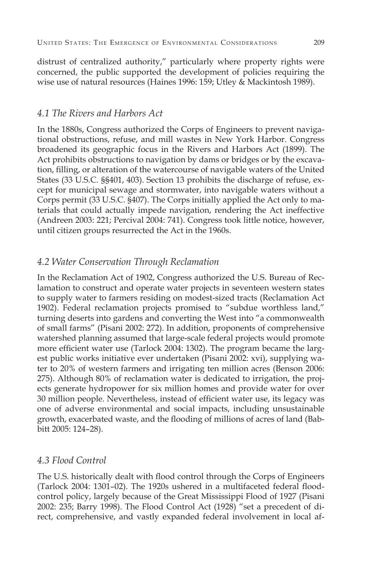distrust of centralized authority," particularly where property rights were concerned, the public supported the development of policies requiring the wise use of natural resources (Haines 1996: 159; Utley & Mackintosh 1989).

#### *4.1 The Rivers and Harbors Act*

In the 1880s, Congress authorized the Corps of Engineers to prevent navigational obstructions, refuse, and mill wastes in New York Harbor. Congress broadened its geographic focus in the Rivers and Harbors Act (1899). The Act prohibits obstructions to navigation by dams or bridges or by the excavation, filling, or alteration of the watercourse of navigable waters of the United States (33 U.S.C. §§401, 403). Section 13 prohibits the discharge of refuse, except for municipal sewage and stormwater, into navigable waters without a Corps permit (33 U.S.C. §407). The Corps initially applied the Act only to materials that could actually impede navigation, rendering the Act ineffective (Andreen 2003: 221; Percival 2004: 741). Congress took little notice, however, until citizen groups resurrected the Act in the 1960s.

### *4.2 Water Conservation Through Reclamation*

In the Reclamation Act of 1902, Congress authorized the U.S. Bureau of Reclamation to construct and operate water projects in seventeen western states to supply water to farmers residing on modest-sized tracts (Reclamation Act 1902). Federal reclamation projects promised to "subdue worthless land," turning deserts into gardens and converting the West into "a commonwealth of small farms" (Pisani 2002: 272). In addition, proponents of comprehensive watershed planning assumed that large-scale federal projects would promote more efficient water use (Tarlock 2004: 1302). The program became the largest public works initiative ever undertaken (Pisani 2002: xvi), supplying water to 20% of western farmers and irrigating ten million acres (Benson 2006: 275). Although 80% of reclamation water is dedicated to irrigation, the projects generate hydropower for six million homes and provide water for over 30 million people. Nevertheless, instead of efficient water use, its legacy was one of adverse environmental and social impacts, including unsustainable growth, exacerbated waste, and the flooding of millions of acres of land (Babbitt 2005: 124–28).

#### *4.3 Flood Control*

The U.S. historically dealt with flood control through the Corps of Engineers (Tarlock 2004: 1301–02). The 1920s ushered in a multifaceted federal floodcontrol policy, largely because of the Great Mississippi Flood of 1927 (Pisani 2002: 235; Barry 1998). The Flood Control Act (1928) "set a precedent of direct, comprehensive, and vastly expanded federal involvement in local af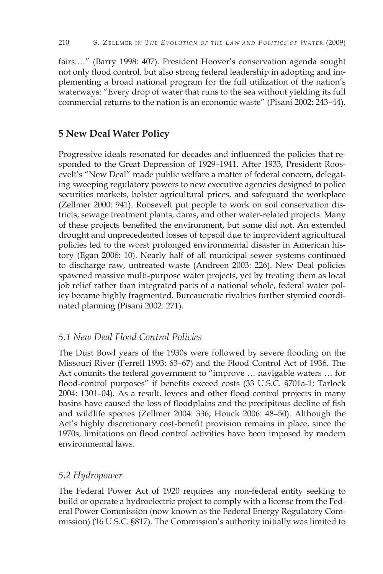fairs.…" (Barry 1998: 407). President Hoover's conservation agenda sought not only flood control, but also strong federal leadership in adopting and implementing a broad national program for the full utilization of the nation's waterways: "Every drop of water that runs to the sea without yielding its full commercial returns to the nation is an economic waste" (Pisani 2002: 243–44).

# **5 New Deal Water Policy**

Progressive ideals resonated for decades and influenced the policies that responded to the Great Depression of 1929–1941. After 1933, President Roosevelt's "New Deal" made public welfare a matter of federal concern, delegating sweeping regulatory powers to new executive agencies designed to police securities markets, bolster agricultural prices, and safeguard the workplace (Zellmer 2000: 941). Roosevelt put people to work on soil conservation districts, sewage treatment plants, dams, and other water-related projects. Many of these projects benefited the environment, but some did not. An extended drought and unprecedented losses of topsoil due to improvident agricultural policies led to the worst prolonged environmental disaster in American history (Egan 2006: 10). Nearly half of all municipal sewer systems continued to discharge raw, untreated waste (Andreen 2003: 226). New Deal policies spawned massive multi-purpose water projects, yet by treating them as local job relief rather than integrated parts of a national whole, federal water policy became highly fragmented. Bureaucratic rivalries further stymied coordinated planning (Pisani 2002: 271).

# *5.1 New Deal Flood Control Policies*

The Dust Bowl years of the 1930s were followed by severe flooding on the Missouri River (Ferrell 1993: 63–67) and the Flood Control Act of 1936. The Act commits the federal government to "improve … navigable waters … for flood-control purposes" if benefits exceed costs (33 U.S.C. §701a-1; Tarlock 2004: 1301–04). As a result, levees and other flood control projects in many basins have caused the loss of floodplains and the precipitous decline of fish and wildlife species (Zellmer 2004: 336; Houck 2006: 48–50). Although the Act's highly discretionary cost-benefit provision remains in place, since the 1970s, limitations on flood control activities have been imposed by modern environmental laws.

### *5.2 Hydropower*

The Federal Power Act of 1920 requires any non-federal entity seeking to build or operate a hydroelectric project to comply with a license from the Federal Power Commission (now known as the Federal Energy Regulatory Commission) (16 U.S.C. §817). The Commission's authority initially was limited to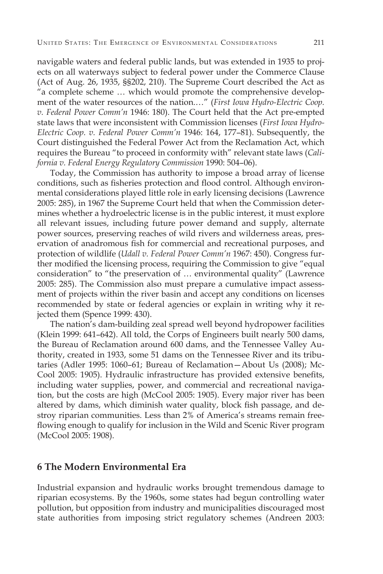navigable waters and federal public lands, but was extended in 1935 to projects on all waterways subject to federal power under the Commerce Clause (Act of Aug. 26, 1935, §§202, 210). The Supreme Court described the Act as "a complete scheme … which would promote the comprehensive development of the water resources of the nation.…" (*First Iowa Hydro-Electric Coop. v. Federal Power Comm'n* 1946: 180). The Court held that the Act pre-empted state laws that were inconsistent with Commission licenses (*First Iowa Hydro-Electric Coop. v. Federal Power Comm'n* 1946: 164, 177–81). Subsequently, the Court distinguished the Federal Power Act from the Reclamation Act, which requires the Bureau "to proceed in conformity with" relevant state laws (*California v. Federal Energy Regulatory Commission* 1990: 504–06).

Today, the Commission has authority to impose a broad array of license conditions, such as fisheries protection and flood control. Although environmental considerations played little role in early licensing decisions (Lawrence 2005: 285), in 1967 the Supreme Court held that when the Commission determines whether a hydroelectric license is in the public interest, it must explore all relevant issues, including future power demand and supply, alternate power sources, preserving reaches of wild rivers and wilderness areas, preservation of anadromous fish for commercial and recreational purposes, and protection of wildlife (*Udall v. Federal Power Comm'n* 1967: 450). Congress further modified the licensing process, requiring the Commission to give "equal consideration" to "the preservation of … environmental quality" (Lawrence 2005: 285). The Commission also must prepare a cumulative impact assessment of projects within the river basin and accept any conditions on licenses recommended by state or federal agencies or explain in writing why it rejected them (Spence 1999: 430).

The nation's dam-building zeal spread well beyond hydropower facilities (Klein 1999: 641–642). All told, the Corps of Engineers built nearly 500 dams, the Bureau of Reclamation around 600 dams, and the Tennessee Valley Authority, created in 1933, some 51 dams on the Tennessee River and its tributaries (Adler 1995: 1060–61; Bureau of Reclamation—About Us (2008); Mc-Cool 2005: 1905). Hydraulic infrastructure has provided extensive benefits, including water supplies, power, and commercial and recreational navigation, but the costs are high (McCool 2005: 1905). Every major river has been altered by dams, which diminish water quality, block fish passage, and destroy riparian communities. Less than 2% of America's streams remain freeflowing enough to qualify for inclusion in the Wild and Scenic River program (McCool 2005: 1908).

#### **6 The Modern Environmental Era**

Industrial expansion and hydraulic works brought tremendous damage to riparian ecosystems. By the 1960s, some states had begun controlling water pollution, but opposition from industry and municipalities discouraged most state authorities from imposing strict regulatory schemes (Andreen 2003: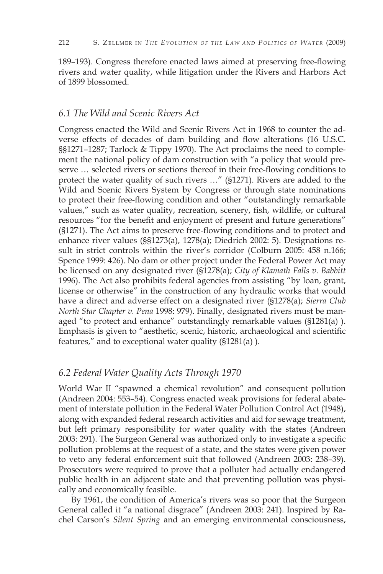189–193). Congress therefore enacted laws aimed at preserving free-flowing rivers and water quality, while litigation under the Rivers and Harbors Act of 1899 blossomed.

#### *6.1 The Wild and Scenic Rivers Act*

Congress enacted the Wild and Scenic Rivers Act in 1968 to counter the adverse effects of decades of dam building and flow alterations (16 U.S.C. §§1271–1287; Tarlock & Tippy 1970). The Act proclaims the need to complement the national policy of dam construction with "a policy that would preserve … selected rivers or sections thereof in their free-flowing conditions to protect the water quality of such rivers …" (§1271). Rivers are added to the Wild and Scenic Rivers System by Congress or through state nominations to protect their free-flowing condition and other "outstandingly remarkable values," such as water quality, recreation, scenery, fish, wildlife, or cultural resources "for the benefit and enjoyment of present and future generations" (§1271). The Act aims to preserve free-flowing conditions and to protect and enhance river values (§§1273(a), 1278(a); Diedrich 2002: 5). Designations result in strict controls within the river's corridor (Colburn 2005: 458 n.166; Spence 1999: 426). No dam or other project under the Federal Power Act may be licensed on any designated river (§1278(a); *City of Klamath Falls v. Babbitt* 1996). The Act also prohibits federal agencies from assisting "by loan, grant, license or otherwise" in the construction of any hydraulic works that would have a direct and adverse effect on a designated river (§1278(a); *Sierra Club North Star Chapter v. Pena* 1998: 979). Finally, designated rivers must be managed "to protect and enhance" outstandingly remarkable values (§1281(a) ). Emphasis is given to "aesthetic, scenic, historic, archaeological and scientific features," and to exceptional water quality (§1281(a) ).

## *6.2 Federal Water Quality Acts Through 1970*

World War II "spawned a chemical revolution" and consequent pollution (Andreen 2004: 553–54). Congress enacted weak provisions for federal abatement of interstate pollution in the Federal Water Pollution Control Act (1948), along with expanded federal research activities and aid for sewage treatment, but left primary responsibility for water quality with the states (Andreen 2003: 291). The Surgeon General was authorized only to investigate a specific pollution problems at the request of a state, and the states were given power to veto any federal enforcement suit that followed (Andreen 2003: 238–39). Prosecutors were required to prove that a polluter had actually endangered public health in an adjacent state and that preventing pollution was physically and economically feasible.

By 1961, the condition of America's rivers was so poor that the Surgeon General called it "a national disgrace" (Andreen 2003: 241). Inspired by Rachel Carson's *Silent Spring* and an emerging environmental consciousness,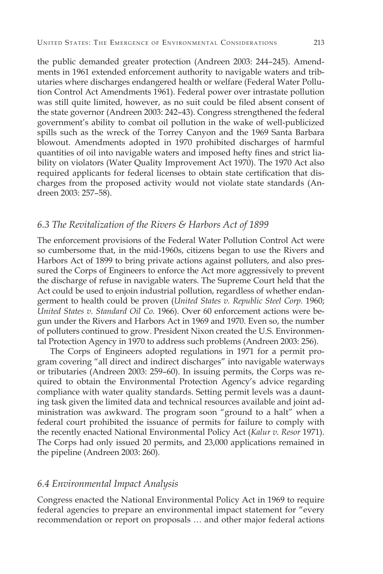the public demanded greater protection (Andreen 2003: 244–245). Amendments in 1961 extended enforcement authority to navigable waters and tributaries where discharges endangered health or welfare (Federal Water Pollution Control Act Amendments 1961). Federal power over intrastate pollution was still quite limited, however, as no suit could be filed absent consent of the state governor (Andreen 2003: 242–43). Congress strengthened the federal government's ability to combat oil pollution in the wake of well-publicized spills such as the wreck of the Torrey Canyon and the 1969 Santa Barbara blowout. Amendments adopted in 1970 prohibited discharges of harmful quantities of oil into navigable waters and imposed hefty fines and strict liability on violators (Water Quality Improvement Act 1970). The 1970 Act also required applicants for federal licenses to obtain state certification that discharges from the proposed activity would not violate state standards (Andreen 2003: 257–58).

#### *6.3 The Revitalization of the Rivers & Harbors Act of 1899*

The enforcement provisions of the Federal Water Pollution Control Act were so cumbersome that, in the mid-1960s, citizens began to use the Rivers and Harbors Act of 1899 to bring private actions against polluters, and also pressured the Corps of Engineers to enforce the Act more aggressively to prevent the discharge of refuse in navigable waters. The Supreme Court held that the Act could be used to enjoin industrial pollution, regardless of whether endangerment to health could be proven (*United States v. Republic Steel Corp.* 1960; *United States v. Standard Oil Co.* 1966). Over 60 enforcement actions were begun under the Rivers and Harbors Act in 1969 and 1970. Even so, the number of polluters continued to grow. President Nixon created the U.S. Environmental Protection Agency in 1970 to address such problems (Andreen 2003: 256).

The Corps of Engineers adopted regulations in 1971 for a permit program covering "all direct and indirect discharges" into navigable waterways or tributaries (Andreen 2003: 259–60). In issuing permits, the Corps was required to obtain the Environmental Protection Agency's advice regarding compliance with water quality standards. Setting permit levels was a daunting task given the limited data and technical resources available and joint administration was awkward. The program soon "ground to a halt" when a federal court prohibited the issuance of permits for failure to comply with the recently enacted National Environmental Policy Act (*Kalur v. Resor* 1971). The Corps had only issued 20 permits, and 23,000 applications remained in the pipeline (Andreen 2003: 260).

#### *6.4 Environmental Impact Analysis*

Congress enacted the National Environmental Policy Act in 1969 to require federal agencies to prepare an environmental impact statement for "every recommendation or report on proposals … and other major federal actions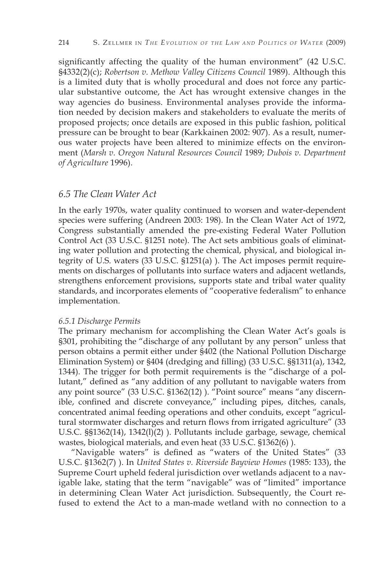significantly affecting the quality of the human environment" (42 U.S.C. §4332(2)(c); *Robertson v. Methow Valley Citizens Council* 1989). Although this is a limited duty that is wholly procedural and does not force any particular substantive outcome, the Act has wrought extensive changes in the way agencies do business. Environmental analyses provide the information needed by decision makers and stakeholders to evaluate the merits of proposed projects; once details are exposed in this public fashion, political pressure can be brought to bear (Karkkainen 2002: 907). As a result, numerous water projects have been altered to minimize effects on the environment (*Marsh v. Oregon Natural Resources Council* 1989; *Dubois v. Department of Agriculture* 1996).

#### *6.5 The Clean Water Act*

In the early 1970s, water quality continued to worsen and water-dependent species were suffering (Andreen 2003: 198). In the Clean Water Act of 1972, Congress substantially amended the pre-existing Federal Water Pollution Control Act (33 U.S.C. §1251 note). The Act sets ambitious goals of eliminating water pollution and protecting the chemical, physical, and biological integrity of U.S. waters (33 U.S.C. §1251(a) ). The Act imposes permit requirements on discharges of pollutants into surface waters and adjacent wetlands, strengthens enforcement provisions, supports state and tribal water quality standards, and incorporates elements of "cooperative federalism" to enhance implementation.

#### *6.5.1 Discharge Permits*

The primary mechanism for accomplishing the Clean Water Act's goals is §301, prohibiting the "discharge of any pollutant by any person" unless that person obtains a permit either under §402 (the National Pollution Discharge Elimination System) or §404 (dredging and filling) (33 U.S.C. §§1311(a), 1342, 1344). The trigger for both permit requirements is the "discharge of a pollutant," defined as "any addition of any pollutant to navigable waters from any point source" (33 U.S.C. §1362(12) ). "Point source" means "any discernible, confined and discrete conveyance," including pipes, ditches, canals, concentrated animal feeding operations and other conduits, except "agricultural stormwater discharges and return flows from irrigated agriculture" (33 U.S.C. §§1362(14), 1342(l)(2) ). Pollutants include garbage, sewage, chemical wastes, biological materials, and even heat (33 U.S.C. §1362(6) ).

"Navigable waters" is defined as "waters of the United States" (33 U.S.C. §1362(7) ). In *United States v. Riverside Bayview Homes* (1985: 133), the Supreme Court upheld federal jurisdiction over wetlands adjacent to a navigable lake, stating that the term "navigable" was of "limited" importance in determining Clean Water Act jurisdiction. Subsequently, the Court refused to extend the Act to a man-made wetland with no connection to a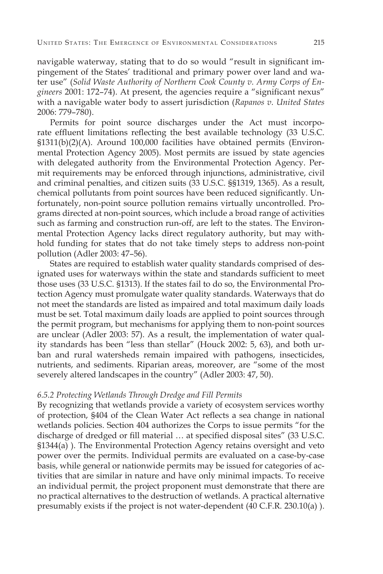navigable waterway, stating that to do so would "result in significant impingement of the States' traditional and primary power over land and water use" (*Solid Waste Authority of Northern Cook County v. Army Corps of Engineers* 2001: 172–74). At present, the agencies require a "significant nexus" with a navigable water body to assert jurisdiction (*Rapanos v. United States* 2006: 779–780).

Permits for point source discharges under the Act must incorporate effluent limitations reflecting the best available technology (33 U.S.C. §1311(b)(2)(A). Around 100,000 facilities have obtained permits (Environmental Protection Agency 2005). Most permits are issued by state agencies with delegated authority from the Environmental Protection Agency. Permit requirements may be enforced through injunctions, administrative, civil and criminal penalties, and citizen suits (33 U.S.C. §§1319, 1365). As a result, chemical pollutants from point sources have been reduced significantly. Unfortunately, non-point source pollution remains virtually uncontrolled. Programs directed at non-point sources, which include a broad range of activities such as farming and construction run-off, are left to the states. The Environmental Protection Agency lacks direct regulatory authority, but may withhold funding for states that do not take timely steps to address non-point pollution (Adler 2003: 47–56).

States are required to establish water quality standards comprised of designated uses for waterways within the state and standards sufficient to meet those uses (33 U.S.C. §1313). If the states fail to do so, the Environmental Protection Agency must promulgate water quality standards. Waterways that do not meet the standards are listed as impaired and total maximum daily loads must be set. Total maximum daily loads are applied to point sources through the permit program, but mechanisms for applying them to non-point sources are unclear (Adler 2003: 57). As a result, the implementation of water quality standards has been "less than stellar" (Houck 2002: 5, 63), and both urban and rural watersheds remain impaired with pathogens, insecticides, nutrients, and sediments. Riparian areas, moreover, are "some of the most severely altered landscapes in the country" (Adler 2003: 47, 50).

#### *6.5.2 Protecting Wetlands Through Dredge and Fill Permits*

By recognizing that wetlands provide a variety of ecosystem services worthy of protection, §404 of the Clean Water Act reflects a sea change in national wetlands policies. Section 404 authorizes the Corps to issue permits "for the discharge of dredged or fill material … at specified disposal sites" (33 U.S.C. §1344(a) ). The Environmental Protection Agency retains oversight and veto power over the permits. Individual permits are evaluated on a case-by-case basis, while general or nationwide permits may be issued for categories of activities that are similar in nature and have only minimal impacts. To receive an individual permit, the project proponent must demonstrate that there are no practical alternatives to the destruction of wetlands. A practical alternative presumably exists if the project is not water-dependent (40 C.F.R. 230.10(a) ).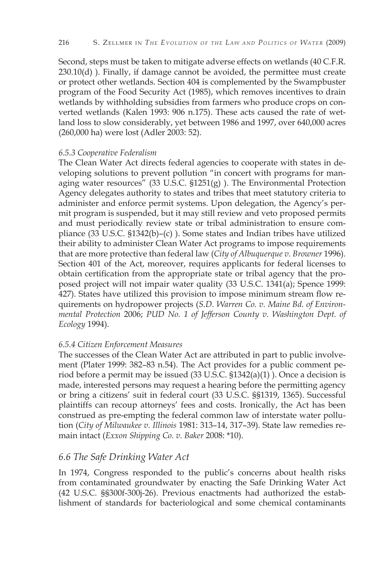Second, steps must be taken to mitigate adverse effects on wetlands (40 C.F.R.  $230.10(d)$ ). Finally, if damage cannot be avoided, the permittee must create or protect other wetlands. Section 404 is complemented by the Swampbuster program of the Food Security Act (1985), which removes incentives to drain wetlands by withholding subsidies from farmers who produce crops on converted wetlands (Kalen 1993: 906 n.175). These acts caused the rate of wetland loss to slow considerably, yet between 1986 and 1997, over 640,000 acres (260,000 ha) were lost (Adler 2003: 52).

#### *6.5.3 Cooperative Federalism*

The Clean Water Act directs federal agencies to cooperate with states in developing solutions to prevent pollution "in concert with programs for managing water resources" (33 U.S.C.  $$1251(g)$  ). The Environmental Protection Agency delegates authority to states and tribes that meet statutory criteria to administer and enforce permit systems. Upon delegation, the Agency's permit program is suspended, but it may still review and veto proposed permits and must periodically review state or tribal administration to ensure compliance (33 U.S.C. §1342(b)–(c) ). Some states and Indian tribes have utilized their ability to administer Clean Water Act programs to impose requirements that are more protective than federal law (*City of Albuquerque v. Browner* 1996). Section 401 of the Act, moreover, requires applicants for federal licenses to obtain certification from the appropriate state or tribal agency that the proposed project will not impair water quality (33 U.S.C. 1341(a); Spence 1999: 427). States have utilized this provision to impose minimum stream flow requirements on hydropower projects (*S.D. Warren Co. v. Maine Bd. of Environmental Protection* 2006; *PUD No. 1 of Jefferson County v. Washington Dept. of Ecology* 1994).

#### *6.5.4 Citizen Enforcement Measures*

The successes of the Clean Water Act are attributed in part to public involvement (Plater 1999: 382–83 n.54). The Act provides for a public comment period before a permit may be issued (33 U.S.C. §1342(a)(1) ). Once a decision is made, interested persons may request a hearing before the permitting agency or bring a citizens' suit in federal court (33 U.S.C. §§1319, 1365). Successful plaintiffs can recoup attorneys' fees and costs. Ironically, the Act has been construed as pre-empting the federal common law of interstate water pollution (*City of Milwaukee v. Illinois* 1981: 313–14, 317–39). State law remedies remain intact (*Exxon Shipping Co. v. Baker* 2008: \*10).

### *6.6 The Safe Drinking Water Act*

In 1974, Congress responded to the public's concerns about health risks from contaminated groundwater by enacting the Safe Drinking Water Act (42 U.S.C. §§300f-300j-26). Previous enactments had authorized the establishment of standards for bacteriological and some chemical contaminants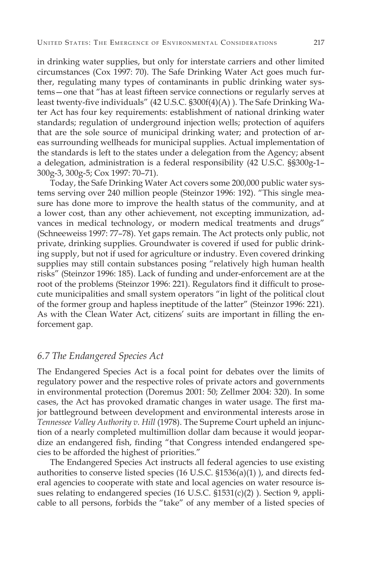in drinking water supplies, but only for interstate carriers and other limited circumstances (Cox 1997: 70). The Safe Drinking Water Act goes much further, regulating many types of contaminants in public drinking water systems—one that "has at least fifteen service connections or regularly serves at least twenty-five individuals" (42 U.S.C. §300f(4)(A) ). The Safe Drinking Water Act has four key requirements: establishment of national drinking water standards; regulation of underground injection wells; protection of aquifers that are the sole source of municipal drinking water; and protection of areas surrounding wellheads for municipal supplies. Actual implementation of the standards is left to the states under a delegation from the Agency; absent a delegation, administration is a federal responsibility (42 U.S.C. §§300g-1– 300g-3, 300g-5; Cox 1997: 70–71).

Today, the Safe Drinking Water Act covers some 200,000 public water systems serving over 240 million people (Steinzor 1996: 192). "This single measure has done more to improve the health status of the community, and at a lower cost, than any other achievement, not excepting immunization, advances in medical technology, or modern medical treatments and drugs" (Schneeweiss 1997: 77–78). Yet gaps remain. The Act protects only public, not private, drinking supplies. Groundwater is covered if used for public drinking supply, but not if used for agriculture or industry. Even covered drinking supplies may still contain substances posing "relatively high human health risks" (Steinzor 1996: 185). Lack of funding and under-enforcement are at the root of the problems (Steinzor 1996: 221). Regulators find it difficult to prosecute municipalities and small system operators "in light of the political clout of the former group and hapless ineptitude of the latter" (Steinzor 1996: 221). As with the Clean Water Act, citizens' suits are important in filling the enforcement gap.

#### *6.7 The Endangered Species Act*

The Endangered Species Act is a focal point for debates over the limits of regulatory power and the respective roles of private actors and governments in environmental protection (Doremus 2001: 50; Zellmer 2004: 320). In some cases, the Act has provoked dramatic changes in water usage. The first major battleground between development and environmental interests arose in *Tennessee Valley Authority v. Hill* (1978). The Supreme Court upheld an injunction of a nearly completed multimillion dollar dam because it would jeopardize an endangered fish, finding "that Congress intended endangered species to be afforded the highest of priorities."

The Endangered Species Act instructs all federal agencies to use existing authorities to conserve listed species  $(16 \text{ U.S.C. } $1536(a)(1))$ , and directs federal agencies to cooperate with state and local agencies on water resource issues relating to endangered species (16 U.S.C. §1531(c)(2)). Section 9, applicable to all persons, forbids the "take" of any member of a listed species of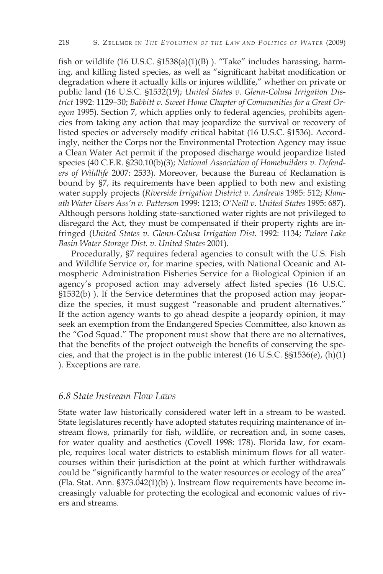fish or wildlife (16 U.S.C. §1538(a)(1)(B) ). "Take" includes harassing, harming, and killing listed species, as well as "significant habitat modification or degradation where it actually kills or injures wildlife," whether on private or public land (16 U.S.C. §1532(19); *United States v. Glenn-Colusa Irrigation District* 1992: 1129–30; *Babbitt v. Sweet Home Chapter of Communities for a Great Oregon* 1995). Section 7, which applies only to federal agencies, prohibits agencies from taking any action that may jeopardize the survival or recovery of listed species or adversely modify critical habitat (16 U.S.C. §1536). Accordingly, neither the Corps nor the Environmental Protection Agency may issue a Clean Water Act permit if the proposed discharge would jeopardize listed species (40 C.F.R. §230.10(b)(3); *National Association of Homebuilders v. Defenders of Wildlife* 2007: 2533). Moreover, because the Bureau of Reclamation is bound by §7, its requirements have been applied to both new and existing water supply projects (*Riverside Irrigation District v. Andrews* 1985: 512; *Klamath Water Users Ass'n v. Patterson* 1999: 1213; *O'Neill v. United States* 1995: 687). Although persons holding state-sanctioned water rights are not privileged to disregard the Act, they must be compensated if their property rights are infringed (*United States v. Glenn-Colusa Irrigation Dist.* 1992: 1134; *Tulare Lake Basin Water Storage Dist. v. United States* 2001).

Procedurally, §7 requires federal agencies to consult with the U.S. Fish and Wildlife Service or, for marine species, with National Oceanic and Atmospheric Administration Fisheries Service for a Biological Opinion if an agency's proposed action may adversely affect listed species (16 U.S.C. §1532(b) ). If the Service determines that the proposed action may jeopardize the species, it must suggest "reasonable and prudent alternatives." If the action agency wants to go ahead despite a jeopardy opinion, it may seek an exemption from the Endangered Species Committee, also known as the "God Squad." The proponent must show that there are no alternatives, that the benefits of the project outweigh the benefits of conserving the species, and that the project is in the public interest  $(16 \text{ U.S.C.} \text{})\text{S}^{3}6(\text{e})$ ,  $(h)(1)$ ). Exceptions are rare.

#### *6.8 State Instream Flow Laws*

State water law historically considered water left in a stream to be wasted. State legislatures recently have adopted statutes requiring maintenance of instream flows, primarily for fish, wildlife, or recreation and, in some cases, for water quality and aesthetics (Covell 1998: 178). Florida law, for example, requires local water districts to establish minimum flows for all watercourses within their jurisdiction at the point at which further withdrawals could be "significantly harmful to the water resources or ecology of the area" (Fla. Stat. Ann. §373.042(1)(b) ). Instream flow requirements have become increasingly valuable for protecting the ecological and economic values of rivers and streams.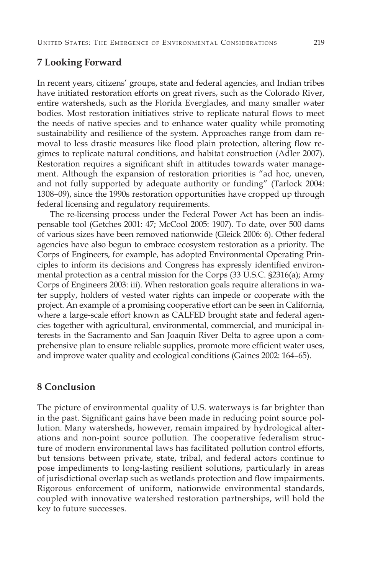#### **7 Looking Forward**

In recent years, citizens' groups, state and federal agencies, and Indian tribes have initiated restoration efforts on great rivers, such as the Colorado River, entire watersheds, such as the Florida Everglades, and many smaller water bodies. Most restoration initiatives strive to replicate natural flows to meet the needs of native species and to enhance water quality while promoting sustainability and resilience of the system. Approaches range from dam removal to less drastic measures like flood plain protection, altering flow regimes to replicate natural conditions, and habitat construction (Adler 2007). Restoration requires a significant shift in attitudes towards water management. Although the expansion of restoration priorities is "ad hoc, uneven, and not fully supported by adequate authority or funding" (Tarlock 2004: 1308–09), since the 1990s restoration opportunities have cropped up through federal licensing and regulatory requirements.

The re-licensing process under the Federal Power Act has been an indispensable tool (Getches 2001: 47; McCool 2005: 1907). To date, over 500 dams of various sizes have been removed nationwide (Gleick 2006: 6). Other federal agencies have also begun to embrace ecosystem restoration as a priority. The Corps of Engineers, for example, has adopted Environmental Operating Principles to inform its decisions and Congress has expressly identified environmental protection as a central mission for the Corps (33 U.S.C. §2316(a); Army Corps of Engineers 2003: iii). When restoration goals require alterations in water supply, holders of vested water rights can impede or cooperate with the project. An example of a promising cooperative effort can be seen in California, where a large-scale effort known as CALFED brought state and federal agencies together with agricultural, environmental, commercial, and municipal interests in the Sacramento and San Joaquin River Delta to agree upon a comprehensive plan to ensure reliable supplies, promote more efficient water uses, and improve water quality and ecological conditions (Gaines 2002: 164–65).

#### **8 Conclusion**

The picture of environmental quality of U.S. waterways is far brighter than in the past. Significant gains have been made in reducing point source pollution. Many watersheds, however, remain impaired by hydrological alterations and non-point source pollution. The cooperative federalism structure of modern environmental laws has facilitated pollution control efforts, but tensions between private, state, tribal, and federal actors continue to pose impediments to long-lasting resilient solutions, particularly in areas of jurisdictional overlap such as wetlands protection and flow impairments. Rigorous enforcement of uniform, nationwide environmental standards, coupled with innovative watershed restoration partnerships, will hold the key to future successes.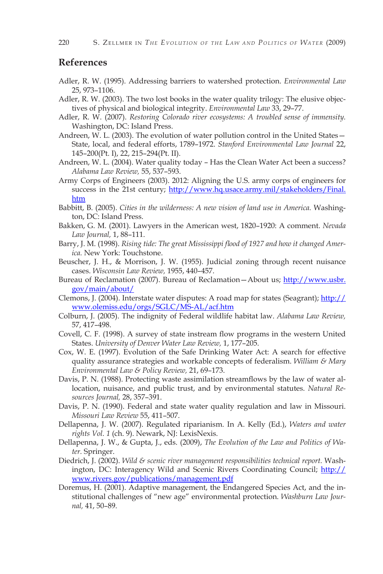#### **References**

- Adler, R. W. (1995). Addressing barriers to watershed protection. *Environmental Law*  25, 973–1106.
- Adler, R. W. (2003). The two lost books in the water quality trilogy: The elusive objectives of physical and biological integrity. *Environmental Law* 33, 29–77.
- Adler, R. W. (2007). *Restoring Colorado river ecosystems: A troubled sense of immensity.*  Washington, DC: Island Press.
- Andreen, W. L. (2003). The evolution of water pollution control in the United States— State, local, and federal efforts, 1789–1972. *Stanford Environmental Law Journal* 22, 145–200(Pt. I), 22, 215–294(Pt. II).
- Andreen, W. L. (2004). Water quality today Has the Clean Water Act been a success? *Alabama Law Review,* 55, 537–593.
- Army Corps of Engineers (2003). 2012: Aligning the U.S. army corps of engineers for success in the 21st century; http://www.hq.usace.army.mil/stakeholders/Final. htm
- Babbitt, B. (2005). *Cities in the wilderness: A new vision of land use in America.* Washington, DC: Island Press.
- Bakken, G. M. (2001). Lawyers in the American west, 1820–1920: A comment. *Nevada Law Journal,* 1, 88–111.
- Barry, J. M. (1998). *Rising tide: The great Mississippi flood of 1927 and how it changed America.* New York: Touchstone.
- Beuscher, J. H., & Morrison, J. W. (1955). Judicial zoning through recent nuisance cases. *Wisconsin Law Review,* 1955, 440–457.
- Bureau of Reclamation (2007). Bureau of Reclamation—About us; http://www.usbr. gov/main/about/
- Clemons, J. (2004). Interstate water disputes: A road map for states (Seagrant); http:// www.olemiss.edu/orgs/SGLC/MS-AL/acf.htm
- Colburn, J. (2005). The indignity of Federal wildlife habitat law. *Alabama Law Review,*  57, 417–498.
- Covell, C. F. (1998). A survey of state instream flow programs in the western United States. *University of Denver Water Law Review,* 1, 177–205.
- Cox, W. E. (1997). Evolution of the Safe Drinking Water Act: A search for effective quality assurance strategies and workable concepts of federalism. *William & Mary Environmental Law & Policy Review,* 21, 69–173.
- Davis, P. N. (1988). Protecting waste assimilation streamflows by the law of water allocation, nuisance, and public trust, and by environmental statutes. *Natural Resources Journal,* 28, 357–391.
- Davis, P. N. (1990). Federal and state water quality regulation and law in Missouri. *Missouri Law Review* 55, 411–507.
- Dellapenna, J. W. (2007). Regulated riparianism. In A. Kelly (Ed.), *Waters and water rights Vol. 1* (ch. 9). Newark, NJ: LexisNexis.
- Dellapenna, J. W., & Gupta, J., eds. (2009), *The Evolution of the Law and Politics of Water.* Springer.
- Diedrich, J. (2002). *Wild & scenic river management responsibilities technical report.* Washington, DC: Interagency Wild and Scenic Rivers Coordinating Council; http:// www.rivers.gov/publications/management.pdf
- Doremus, H. (2001). Adaptive management, the Endangered Species Act, and the institutional challenges of "new age" environmental protection. *Washburn Law Journal,* 41, 50–89.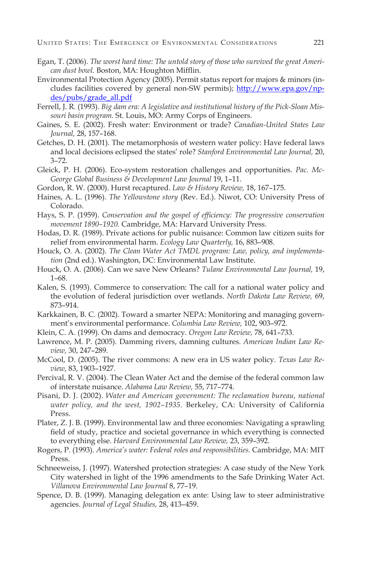- Egan, T. (2006). *The worst hard time: The untold story of those who survived the great American dust bowl.* Boston, MA: Houghton Mifflin.
- Environmental Protection Agency (2005). Permit status report for majors & minors (includes facilities covered by general non-SW permits); http://www.epa.gov/npdes/pubs/grade\_all.pdf
- Ferrell, J. R. (1993). *Big dam era: A legislative and institutional history of the Pick-Sloan Missouri basin program.* St. Louis, MO: Army Corps of Engineers.
- Gaines, S. E. (2002). Fresh water: Environment or trade? *Canadian-United States Law Journal,* 28, 157–168.
- Getches, D. H. (2001). The metamorphosis of western water policy: Have federal laws and local decisions eclipsed the states' role? *Stanford Environmental Law Journal,* 20, 3–72.
- Gleick, P. H. (2006). Eco-system restoration challenges and opportunities. *Pac. Mc-George Global Business & Development Law Journal* 19, 1–11.
- Gordon, R. W. (2000). Hurst recaptured. *Law & History Review,* 18, 167–175.
- Haines, A. L. (1996). *The Yellowstone story* (Rev. Ed.). Niwot, CO: University Press of Colorado.
- Hays, S. P. (1959). *Conservation and the gospel of efficiency: The progressive conservation movement 1890–1920.* Cambridge, MA: Harvard University Press.
- Hodas, D. R. (1989). Private actions for public nuisance: Common law citizen suits for relief from environmental harm. *Ecology Law Quarterly,* 16, 883–908.
- Houck, O. A. (2002). *The Clean Water Act TMDL program: Law, policy, and implementation* (2nd ed.). Washington, DC: Environmental Law Institute.
- Houck, O. A. (2006). Can we save New Orleans? *Tulane Environmental Law Journal,* 19, 1–68.
- Kalen, S. (1993). Commerce to conservation: The call for a national water policy and the evolution of federal jurisdiction over wetlands. *North Dakota Law Review,* 69, 873–914.
- Karkkainen, B. C. (2002). Toward a smarter NEPA: Monitoring and managing government's environmental performance. *Columbia Law Review,* 102, 903–972.
- Klein, C. A. (1999). On dams and democracy. *Oregon Law Review,* 78, 641–733.
- Lawrence, M. P. (2005). Damming rivers, damning cultures. *American Indian Law Review,* 30, 247–289.
- McCool, D. (2005). The river commons: A new era in US water policy. *Texas Law Review,* 83, 1903–1927.
- Percival, R. V. (2004). The Clean Water Act and the demise of the federal common law of interstate nuisance. *Alabama Law Review,* 55, 717–774.
- Pisani, D. J. (2002). *Water and American government: The reclamation bureau, national water policy, and the west, 1902–1935.* Berkeley, CA: University of California Press.
- Plater, Z. J. B. (1999). Environmental law and three economies: Navigating a sprawling field of study, practice and societal governance in which everything is connected to everything else. *Harvard Environmental Law Review,* 23, 359–392.
- Rogers, P. (1993). *America's water: Federal roles and responsibilities.* Cambridge, MA: MIT Press.
- Schneeweiss, J. (1997). Watershed protection strategies: A case study of the New York City watershed in light of the 1996 amendments to the Safe Drinking Water Act. *Villanova Environmental Law Journal* 8, 77–19.
- Spence, D. B. (1999). Managing delegation ex ante: Using law to steer administrative agencies. *Journal of Legal Studies,* 28, 413–459.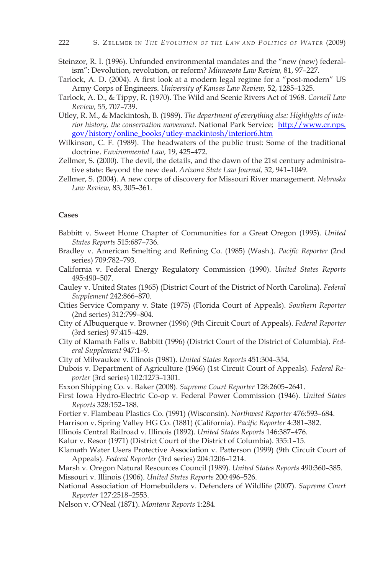- Steinzor, R. I. (1996). Unfunded environmental mandates and the "new (new) federalism": Devolution, revolution, or reform? *Minnesota Law Review,* 81, 97–227.
- Tarlock, A. D. (2004). A first look at a modern legal regime for a "post-modern" US Army Corps of Engineers. *University of Kansas Law Review,* 52, 1285–1325.
- Tarlock, A. D., & Tippy, R. (1970). The Wild and Scenic Rivers Act of 1968. *Cornell Law Review,* 55, 707–739.
- Utley, R. M., & Mackintosh, B. (1989). *The department of everything else: Highlights of interior history, the conservation movement.* National Park Service; http://www.cr.nps. gov/history/online\_books/utley-mackintosh/interior6.htm
- Wilkinson, C. F. (1989). The headwaters of the public trust: Some of the traditional doctrine. *Environmental Law,* 19, 425–472.
- Zellmer, S. (2000). The devil, the details, and the dawn of the 21st century administrative state: Beyond the new deal. *Arizona State Law Journal,* 32, 941–1049.
- Zellmer, S. (2004). A new corps of discovery for Missouri River management. *Nebraska Law Review,* 83, 305–361.

#### **Cases**

- Babbitt v. Sweet Home Chapter of Communities for a Great Oregon (1995). *United States Reports* 515:687–736.
- Bradley v. American Smelting and Refining Co. (1985) (Wash.). *Pacific Reporter* (2nd series) 709:782–793.
- California v. Federal Energy Regulatory Commission (1990). *United States Reports* 495:490–507.
- Cauley v. United States (1965) (District Court of the District of North Carolina). *Federal Supplement* 242:866–870.
- Cities Service Company v. State (1975) (Florida Court of Appeals). *Southern Reporter* (2nd series) 312:799–804.
- City of Albuquerque v. Browner (1996) (9th Circuit Court of Appeals). *Federal Reporter*  (3rd series) 97:415–429.
- City of Klamath Falls v. Babbitt (1996) (District Court of the District of Columbia). *Federal Supplement* 947:1–9.
- City of Milwaukee v. Illinois (1981). *United States Reports* 451:304–354.
- Dubois v. Department of Agriculture (1966) (1st Circuit Court of Appeals). *Federal Reporter* (3rd series) 102:1273–1301.
- Exxon Shipping Co. v. Baker (2008). *Supreme Court Reporter* 128:2605–2641.
- First Iowa Hydro-Electric Co-op v. Federal Power Commission (1946). *United States Reports* 328:152–188.
- Fortier v. Flambeau Plastics Co. (1991) (Wisconsin). *Northwest Reporter* 476:593–684.
- Harrison v. Spring Valley HG Co. (1881) (California). *Pacific Reporter* 4:381–382.
- Illinois Central Railroad v. Illinois (1892). *United States Reports* 146:387–476.
- Kalur v. Resor (1971) (District Court of the District of Columbia). 335:1–15.
- Klamath Water Users Protective Association v. Patterson (1999) (9th Circuit Court of Appeals). *Federal Reporter* (3rd series) 204:1206–1214.
- Marsh v. Oregon Natural Resources Council (1989). *United States Reports* 490:360–385. Missouri v. Illinois (1906). *United States Reports* 200:496–526.
- National Association of Homebuilders v. Defenders of Wildlife (2007). *Supreme Court Reporter* 127:2518–2553.
- Nelson v. O'Neal (1871). *Montana Reports* 1:284.